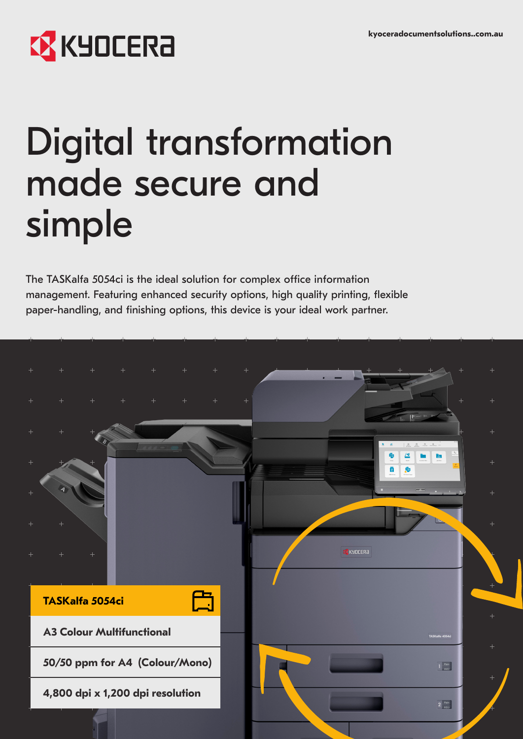# **EX** KYOCERA

# Digital transformation made secure and simple

The TASKalfa 5054ci is the ideal solution for complex office information management. Featuring enhanced security options, high quality printing, flexible paper-handling, and finishing options, this device is your ideal work partner.